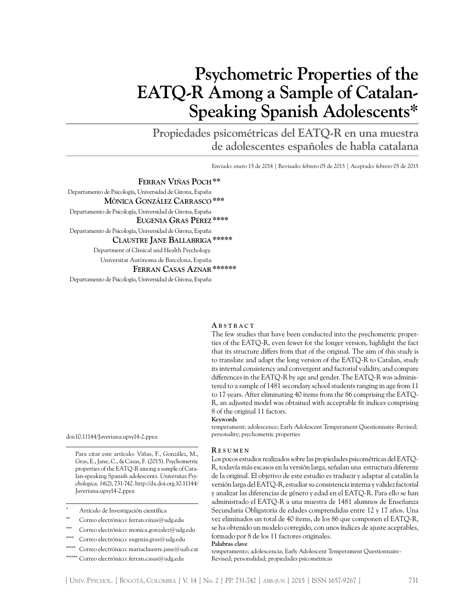# **Psychometric Properties of the EATQ-R Among a Sample of Catalan-Speaking Spanish Adolescents\***

**Propiedades psicométricas del EATQ-R en una muestra de adolescentes españoles de habla catalana**

Enviado: enero 15 de 2014 | Revisado: febrero 05 de 2015 | Aceptado: febrero 05 de 2015

**Ferran Viñas Poch\*\*** Departamento de Psicología, Universidad de Girona, España **Mònica González Carrasco\*\*\*** Departamento de Psicología, Universidad de Girona, España  **Eugenia Gras Pérez\*\*\*\*** Departamento de Psicología, Universidad de Girona, España  **Claustre Jane Ballabriga\*\*\*\*\*** Department of Clinical and Health Psychology. Universitat Autònoma de Barcelona, España **Ferran Casas Aznar\*\*\*\*\*\*** Departamento de Psicología, Universidad de Girona, España

**A b s t r a c t**

The few studies that have been conducted into the psychometric properties of the EATQ-R, even fewer for the longer version, highlight the fact that its structure differs from that of the original. The aim of this study is to translate and adapt the long version of the EATQ-R to Catalan, study its internal consistency and convergent and factorial validity, and compare differences in the EATQ-R by age and gender. The EATQ-R was administered to a sample of 1481 secondary school students ranging in age from 11 to 17 years. After eliminating 40 items from the 86 comprising the EATQ-R, an adjusted model was obtained with acceptable fit indices comprising 8 of the original 11 factors.

**Keywords**

temperament; adolescence; Early Adolescent Temperament Questionnaire-Revised; personality; psychometric properties

doi:10.11144/Javeriana.upsy14-2.ppea

Para citar este artículo: Viñas, F., González, M., Gras, E., Jane, C., & Casas, F. (2015). Psychometric properties of the EATQ-R among a sample of Catalan-speaking Spanish adolescents. *Universitas Psychologica, 14*(2), 731-742. [http://dx.doi.org](http://dx.doi.org/).10.11144/ Javeriana.upsy14-2.ppea

- **\*\*** Correo electrónico: ferran.vinas@udg.edu
- Correo electrónico: [monica.gonzalez@udg.edu](mailto:monica.gonzalez@udg.edu)
- Correo electrónico: [eugenia.gras@udg.edu](mailto:eugenia.gras@udg.edu)
- **\*\*\*\*\*** Correo electrónico: [mariaclaustre.jane@uab.cat](mailto:mariaclaustre.jane@uab.cat)
- Correo electrónico: [ferran.casas@udg.edu](mailto:ferran.casas@udg.edu)

#### **R e s u m e n**

Los pocos estudios realizados sobre las propiedades psicométricas del EATQ-R, todavía más escasos en la versión larga, señalan una estructura diferente de la original. El objetivo de este estudio es traducir y adaptar al catalán la versión larga del EATQ-R, estudiar su consistencia interna y validez factorial y analizar las diferencias de género y edad en el EATQ-R. Para ello se han administrado el EATQ-R a una muestra de 1481 alumnos de Enseñanza Secundaria Obligatoria de edades comprendidas entre 12 y 17 años. Una vez eliminados un total de 40 ítems, de los 86 que componen el EATQ-R, se ha obtenido un modelo corregido, con unos índices de ajuste aceptables, formado por 8 de los 11 factores originales.

**Palabras clave**

temperamento; adolescencia; Early Adolescent Temperament Questionnaire-Revised; personalidad; propiedades psicométricas

Artículo de Investigación científica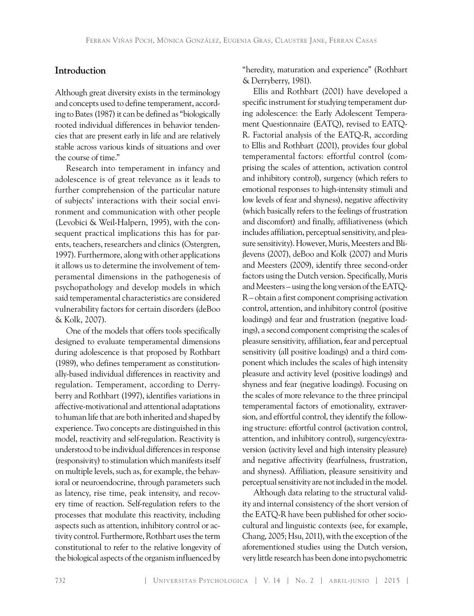# **Introduction**

Although great diversity exists in the terminology and concepts used to define temperament, according to Bates (1987) it can be defined as "biologically rooted individual differences in behavior tendencies that are present early in life and are relatively stable across various kinds of situations and over the course of time."

Research into temperament in infancy and adolescence is of great relevance as it leads to further comprehension of the particular nature of subjects' interactions with their social environment and communication with other people (Levobici & Weil-Halpern, 1995), with the consequent practical implications this has for parents, teachers, researchers and clinics (Ostergren, 1997). Furthermore, along with other applications it allows us to determine the involvement of temperamental dimensions in the pathogenesis of psychopathology and develop models in which said temperamental characteristics are considered vulnerability factors for certain disorders (deBoo & Kolk, 2007).

One of the models that offers tools specifically designed to evaluate temperamental dimensions during adolescence is that proposed by Rothbart (1989), who defines temperament as constitutionally-based individual differences in reactivity and regulation. Temperament, according to Derryberry and Rothbart (1997), identifies variations in affective-motivational and attentional adaptations to human life that are both inherited and shaped by experience. Two concepts are distinguished in this model, reactivity and self-regulation. Reactivity is understood to be individual differences in response (responsivity) to stimulation which manifests itself on multiple levels, such as, for example, the behavioral or neuroendocrine, through parameters such as latency, rise time, peak intensity, and recovery time of reaction. Self-regulation refers to the processes that modulate this reactivity, including aspects such as attention, inhibitory control or activity control. Furthermore, Rothbart uses the term constitutional to refer to the relative longevity of the biological aspects of the organism influenced by

"heredity, maturation and experience" (Rothbart & Derryberry, 1981).

Ellis and Rothbart (2001) have developed a specific instrument for studying temperament during adolescence: the Early Adolescent Temperament Questionnaire (EATQ), revised to EATQ-R. Factorial analysis of the EATQ-R, according to Ellis and Rothbart (2001), provides four global temperamental factors: effortful control (comprising the scales of attention, activation control and inhibitory control), surgency (which refers to emotional responses to high-intensity stimuli and low levels of fear and shyness), negative affectivity (which basically refers to the feelings of frustration and discomfort) and finally, affiliativeness (which includes affiliation, perceptual sensitivity, and pleasure sensitivity). However, Muris, Meesters and Blijlevens (2007), deBoo and Kolk (2007) and Muris and Meesters (2009), identify three second-order factors using the Dutch version. Specifically, Muris and Meesters – using the long version of the EATQ-R – obtain a first component comprising activation control, attention, and inhibitory control (positive loadings) and fear and frustration (negative loadings), a second component comprising the scales of pleasure sensitivity, affiliation, fear and perceptual sensitivity (all positive loadings) and a third component which includes the scales of high intensity pleasure and activity level (positive loadings) and shyness and fear (negative loadings). Focusing on the scales of more relevance to the three principal temperamental factors of emotionality, extraversion, and effortful control, they identify the following structure: effortful control (activation control, attention, and inhibitory control), surgency/extraversion (activity level and high intensity pleasure) and negative affectivity (fearfulness, frustration, and shyness). Affiliation, pleasure sensitivity and perceptual sensitivity are not included in the model.

Although data relating to the structural validity and internal consistency of the short version of the EATQ-R have been published for other sociocultural and linguistic contexts (see, for example, Chang, 2005; Hsu, 2011), with the exception of the aforementioned studies using the Dutch version, very little research has been done into psychometric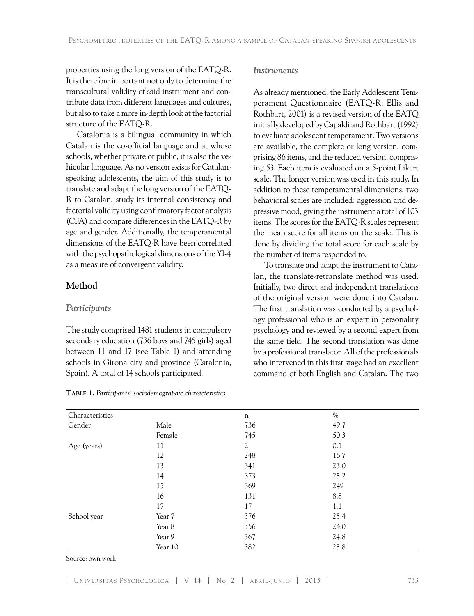properties using the long version of the EATQ-R. It is therefore important not only to determine the transcultural validity of said instrument and contribute data from different languages and cultures, but also to take a more in-depth look at the factorial structure of the EATQ-R.

Catalonia is a bilingual community in which Catalan is the co-official language and at whose schools, whether private or public, it is also the vehicular language. As no version exists for Catalanspeaking adolescents, the aim of this study is to translate and adapt the long version of the EATQ-R to Catalan, study its internal consistency and factorial validity using confirmatory factor analysis (CFA) and compare differences in the EATQ-R by age and gender. Additionally, the temperamental dimensions of the EATQ-R have been correlated with the psychopathological dimensions of the YI-4 as a measure of convergent validity.

## **Method**

### *Participants*

The study comprised 1481 students in compulsory secondary education (736 boys and 745 girls) aged between 11 and 17 (see Table 1) and attending schools in Girona city and province (Catalonia, Spain). A total of 14 schools participated.

|  |  |  | TABLE 1. Participants' sociodemographic characteristics |
|--|--|--|---------------------------------------------------------|
|--|--|--|---------------------------------------------------------|

### *Instruments*

As already mentioned, the Early Adolescent Temperament Questionnaire (EATQ-R; Ellis and Rothbart, 2001) is a revised version of the EATQ initially developed by Capaldi and Rothbart (1992) to evaluate adolescent temperament. Two versions are available, the complete or long version, comprising 86 items, and the reduced version, comprising 53. Each item is evaluated on a 5-point Likert scale. The longer version was used in this study. In addition to these temperamental dimensions, two behavioral scales are included: aggression and depressive mood, giving the instrument a total of 103 items. The scores for the EATQ-R scales represent the mean score for all items on the scale. This is done by dividing the total score for each scale by the number of items responded to.

To translate and adapt the instrument to Catalan, the translate-retranslate method was used. Initially, two direct and independent translations of the original version were done into Catalan. The first translation was conducted by a psychology professional who is an expert in personality psychology and reviewed by a second expert from the same field. The second translation was done by a professional translator. All of the professionals who intervened in this first stage had an excellent command of both English and Catalan. The two

| Characteristics |         | $\mathbf n$    | $\%$ |  |
|-----------------|---------|----------------|------|--|
| Gender          | Male    | 736            | 49.7 |  |
|                 | Female  | 745            | 50.3 |  |
| Age (years)     | 11      | $\mathfrak{2}$ | 0.1  |  |
|                 | 12      | 248            | 16.7 |  |
|                 | 13      | 341            | 23.0 |  |
|                 | 14      | 373            | 25.2 |  |
|                 | 15      | 369            | 249  |  |
|                 | 16      | 131            | 8.8  |  |
|                 | 17      | 17             | 1.1  |  |
| School year     | Year 7  | 376            | 25.4 |  |
|                 | Year 8  | 356            | 24.0 |  |
|                 | Year 9  | 367            | 24.8 |  |
|                 | Year 10 | 382            | 25.8 |  |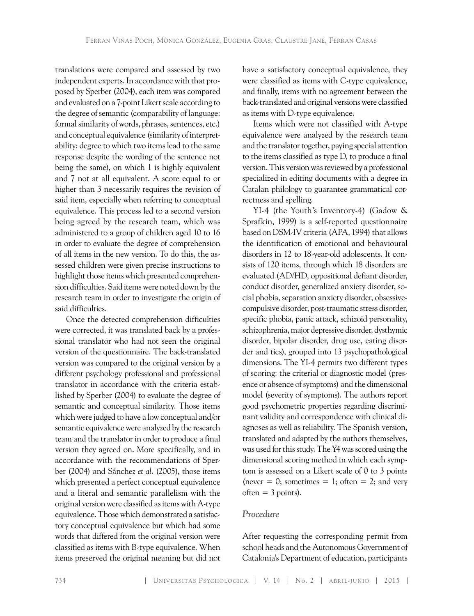translations were compared and assessed by two independent experts. In accordance with that proposed by Sperber (2004), each item was compared and evaluated on a 7-point Likert scale according to the degree of semantic (comparability of language: formal similarity of words, phrases, sentences, etc.) and conceptual equivalence (similarity of interpretability: degree to which two items lead to the same response despite the wording of the sentence not being the same), on which 1 is highly equivalent and 7 not at all equivalent. A score equal to or higher than 3 necessarily requires the revision of said item, especially when referring to conceptual equivalence. This process led to a second version being agreed by the research team, which was administered to a group of children aged 10 to 16 in order to evaluate the degree of comprehension of all items in the new version. To do this, the assessed children were given precise instructions to highlight those items which presented comprehension difficulties. Said items were noted down by the research team in order to investigate the origin of said difficulties.

Once the detected comprehension difficulties were corrected, it was translated back by a professional translator who had not seen the original version of the questionnaire. The back-translated version was compared to the original version by a different psychology professional and professional translator in accordance with the criteria established by Sperber (2004) to evaluate the degree of semantic and conceptual similarity. Those items which were judged to have a low conceptual and/or semantic equivalence were analyzed by the research team and the translator in order to produce a final version they agreed on. More specifically, and in accordance with the recommendations of Sperber (2004) and Sánchez *et al*. (2005), those items which presented a perfect conceptual equivalence and a literal and semantic parallelism with the original version were classified as items with A-type equivalence. Those which demonstrated a satisfactory conceptual equivalence but which had some words that differed from the original version were classified as items with B-type equivalence. When items preserved the original meaning but did not have a satisfactory conceptual equivalence, they were classified as items with C-type equivalence, and finally, items with no agreement between the back-translated and original versions were classified as items with D-type equivalence.

Items which were not classified with A-type equivalence were analyzed by the research team and the translator together, paying special attention to the items classified as type D, to produce a final version. This version was reviewed by a professional specialized in editing documents with a degree in Catalan philology to guarantee grammatical correctness and spelling.

YI-4 (the Youth's Inventory-4) (Gadow & Sprafkin, 1999) is a self-reported questionnaire based on DSM-IV criteria (APA, 1994) that allows the identification of emotional and behavioural disorders in 12 to 18-year-old adolescents. It consists of 120 items, through which 18 disorders are evaluated (AD/HD, oppositional defiant disorder, conduct disorder, generalized anxiety disorder, social phobia, separation anxiety disorder, obsessivecompulsive disorder, post-traumatic stress disorder, specific phobia, panic attack, schizoid personality, schizophrenia, major depressive disorder, dysthymic disorder, bipolar disorder, drug use, eating disorder and tics), grouped into 13 psychopathological dimensions. The YI-4 permits two different types of scoring: the criterial or diagnostic model (presence or absence of symptoms) and the dimensional model (severity of symptoms). The authors report good psychometric properties regarding discriminant validity and correspondence with clinical diagnoses as well as reliability. The Spanish version, translated and adapted by the authors themselves, was used for this study. The Y4 was scored using the dimensional scoring method in which each symptom is assessed on a Likert scale of 0 to 3 points (never  $= 0$ ; sometimes  $= 1$ ; often  $= 2$ ; and very  $often = 3 points)$ .

# *Procedure*

After requesting the corresponding permit from school heads and the Autonomous Government of Catalonia's Department of education, participants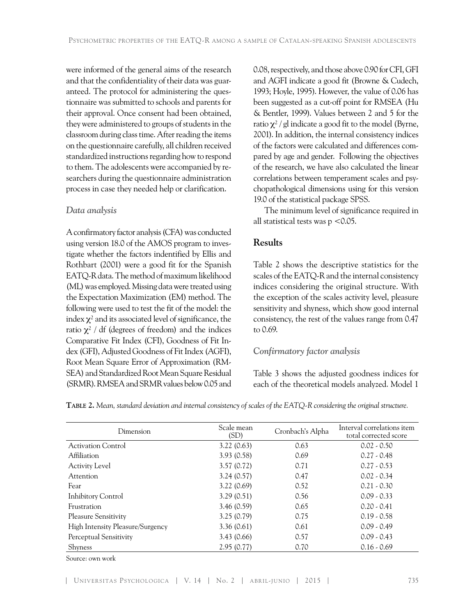were informed of the general aims of the research and that the confidentiality of their data was guaranteed. The protocol for administering the questionnaire was submitted to schools and parents for their approval. Once consent had been obtained, they were administered to groups of students in the classroom during class time. After reading the items on the questionnaire carefully, all children received standardized instructions regarding how to respond to them. The adolescents were accompanied by researchers during the questionnaire administration process in case they needed help or clarification.

# *Data analysis*

A confirmatory factor analysis (CFA) was conducted using version 18.0 of the AMOS program to investigate whether the factors indentified by Ellis and Rothbart (2001) were a good fit for the Spanish EATQ-R data. The method of maximum likelihood (ML) was employed. Missing data were treated using the Expectation Maximization (EM) method. The following were used to test the fit of the model: the index  $\chi^2$  and its associated level of significance, the ratio  $\chi^2$  / df (degrees of freedom) and the indices Comparative Fit Index (CFI), Goodness of Fit Index (GFI), Adjusted Goodness of Fit Index (AGFI), Root Mean Square Error of Approximation (RM-SEA) and Standardized Root Mean Square Residual (SRMR). RMSEA and SRMR values below 0.05 and

0.08, respectively, and those above 0.90 for CFI, GFI and AGFI indicate a good fit (Browne & Cudech, 1993; Hoyle, 1995). However, the value of 0.06 has been suggested as a cut-off point for RMSEA (Hu & Bentler, 1999). Values between 2 and 5 for the ratio  $\chi^2$  / gl indicate a good fit to the model (Byrne, 2001). In addition, the internal consistency indices of the factors were calculated and differences compared by age and gender. Following the objectives of the research, we have also calculated the linear correlations between temperament scales and psychopathological dimensions using for this version 19.0 of the statistical package SPSS.

The minimum level of significance required in all statistical tests was  $p < 0.05$ .

# **Results**

Table 2 shows the descriptive statistics for the scales of the EATQ-R and the internal consistency indices considering the original structure. With the exception of the scales activity level, pleasure sensitivity and shyness, which show good internal consistency, the rest of the values range from 0.47 to 0.69.

# *Confirmatory factor analysis*

Table 3 shows the adjusted goodness indices for each of the theoretical models analyzed. Model 1

**Table 2.** *Mean, standard deviation and internal consistency of scales of the EATQ-R considering the original structure.* 

| Dimension                        | Scale mean<br>(SD) | Cronbach's Alpha | Interval correlations item<br>total corrected score |
|----------------------------------|--------------------|------------------|-----------------------------------------------------|
| <b>Activation Control</b>        | 3.22(0.63)         | 0.63             | $0.02 - 0.50$                                       |
| <b>Affiliation</b>               | 3.93(0.58)         | 0.69             | $0.27 - 0.48$                                       |
| <b>Activity Level</b>            | 3.57(0.72)         | 0.71             | $0.27 - 0.53$                                       |
| <b>Attention</b>                 | 3.24(0.57)         | 0.47             | $0.02 - 0.34$                                       |
| Fear                             | 3.22(0.69)         | 0.52             | $0.21 - 0.30$                                       |
| <b>Inhibitory Control</b>        | 3.29(0.51)         | 0.56             | $0.09 - 0.33$                                       |
| Frustration                      | 3.46(0.59)         | 0.65             | $0.20 - 0.41$                                       |
| Pleasure Sensitivity             | 3.25(0.79)         | 0.75             | $0.19 - 0.58$                                       |
| High Intensity Pleasure/Surgency | 3.36(0.61)         | 0.61             | $0.09 - 0.49$                                       |
| Perceptual Sensitivity           | 3.43(0.66)         | 0.57             | $0.09 - 0.43$                                       |
| Shyness                          | 2.95(0.77)         | 0.70             | $0.16 - 0.69$                                       |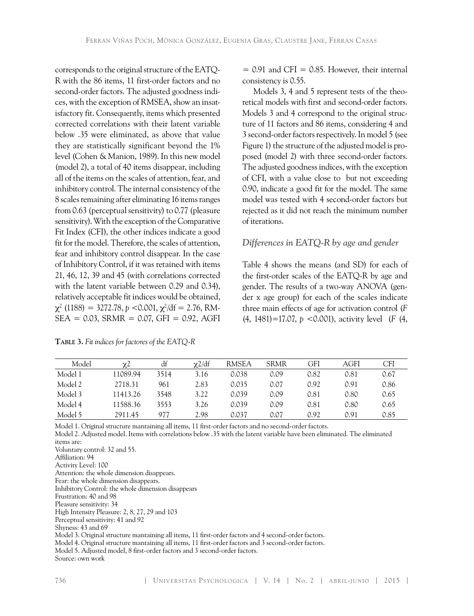corresponds to the original structure of the EATQ-R with the 86 items, 11 first-order factors and no second-order factors. The adjusted goodness indices, with the exception of RMSEA, show an insatisfactory fit. Consequently, items which presented corrected correlations with their latent variable below .35 were eliminated, as above that value they are statistically significant beyond the 1% level (Cohen & Manion, 1989). In this new model (model 2), a total of 40 items disappear, including all of the items on the scales of attention, fear, and inhibitory control. The internal consistency of the 8 scales remaining after eliminating 16 items ranges from 0.63 (perceptual sensitivity) to 0.77 (pleasure sensitivity). With the exception of the Comparative Fit Index (CFI), the other indices indicate a good fit for the model. Therefore, the scales of attention, fear and inhibitory control disappear. In the case of Inhibitory Control, if it was retained with items 21, 46, 12, 39 and 45 (with correlations corrected with the latent variable between 0.29 and 0.34), relatively acceptable fit indices would be obtained,  $\chi^2$  (1188) = 3272.78, p <0.001,  $\chi^2$ /df = 2.76, RM- $SEA = 0.03$ ,  $SRMR = 0.07$ ,  $GFI = 0.92$ ,  $AGFI$ 

| TABLE 3. Fit indices for factores of the EATQ-R |
|-------------------------------------------------|
|-------------------------------------------------|

 $= 0.91$  and CFI  $= 0.85$ . However, their internal consistency is 0.55.

Models 3, 4 and 5 represent tests of the theoretical models with first and second-order factors. Models 3 and 4 correspond to the original structure of 11 factors and 86 items, considering 4 and 3 second-order factors respectively. In model 5 (see Figure 1) the structure of the adjusted model is proposed (model 2) with three second-order factors. The adjusted goodness indices, with the exception of CFI, with a value close to but not exceeding 0.90, indicate a good fit for the model. The same model was tested with 4 second-order factors but rejected as it did not reach the minimum number of iterations.

## *Differences in EATQ-R by age and gender*

Table 4 shows the means (and SD) for each of the first-order scales of the EATQ-R by age and gender. The results of a two-way ANOVA (gender x age group) for each of the scales indicate three main effects of age for activation control (*F* (4, 1481)=17.07, *p* <0.001), activity level (*F* (4,

| Model   | $\chi$   | df   | $\chi$ 2/df | <b>RMSEA</b> | <b>SRMR</b> | GFI  | AGFI | <b>CFI</b> |
|---------|----------|------|-------------|--------------|-------------|------|------|------------|
| Model 1 | 11089.94 | 3514 | 3.16        | 0.038        | 0.09        | 0.82 | 0.81 | 0.67       |
| Model 2 | 2718.31  | 961  | 2.83        | 0.035        | 0.07        | 0.92 | 0.91 | 0.86       |
| Model 3 | 11413.26 | 3548 | 3.22        | 0.039        | 0.09        | 0.81 | 0.80 | 0.65       |
| Model 4 | 11588.36 | 3553 | 3.26        | 0.039        | 0.09        | 0.81 | 0.80 | 0.65       |
| Model 5 | 2911.45  | 977  | 2.98        | 0.037        | 0.07        | 0.92 | 0.91 | 0.85       |

Model 1. Original structure mantaining all items, 11 first-order factors and no second-order factors.

Model 2. Adjusted model. Items with correlations below .35 with the latent variable have been eliminated. The eliminated items are: Voluntary control: 32 and 55. Affiliation: 94 Activity Level: 100 Attention: the whole dimension disappears. Fear: the whole dimension disappears. Inhibitory Control: the whole dimension disappears Frustration: 40 and 98 Pleasure sensitivity: 34 High Intensity Pleasure: 2, 8, 27, 29 and 103 Perceptual sensitivity: 41 and 92 Shyness: 43 and 69 Model 3. Original structure mantaining all items, 11 first-order factors and 4 second-order factors. Model 4. Original structure mantaining all items, 11 first-order factors and 3 second-order factors.

Model 5. Adjusted model, 8 first-order factors and 3 second-order factors.

Source: own work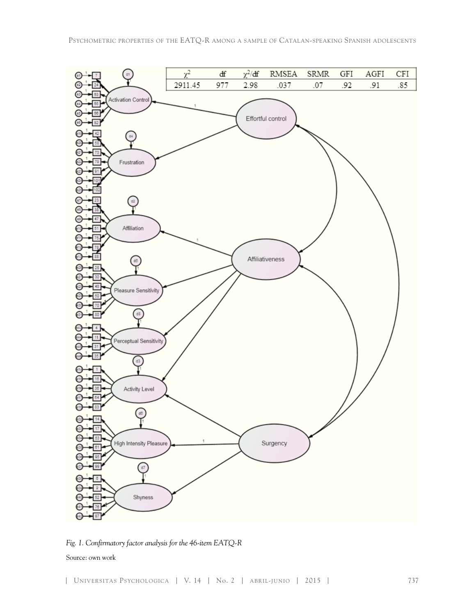

*Fig. 1. Confirmatory factor analysis for the 46-item EATQ-R*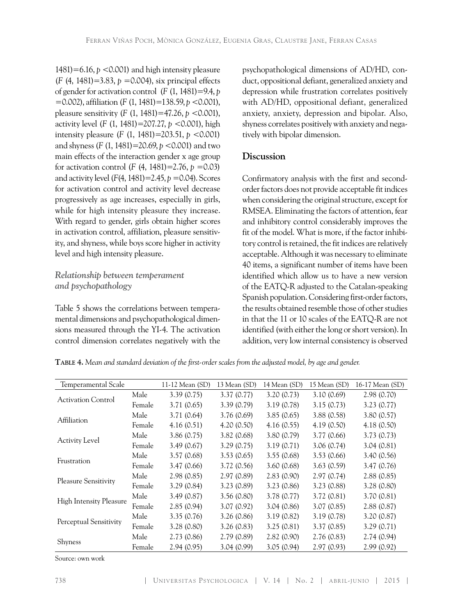1481)=6.16, *p* <0.001) and high intensity pleasure (*F* (4, 1481)=3.83, *p* =0.004), six principal effects of gender for activation control (*F* (1, 1481)=9.4, *p*  =0.002), affiliation (*F* (1, 1481)=138.59, *p* <0.001), pleasure sensitivity (*F* (1, 1481)=47.26, *p* <0.001), activity level (*F* (1, 1481)=207.27, *p* <0.001), high intensity pleasure (*F* (1, 1481)=203.51, *p* <0.001) and shyness (*F* (1, 1481)=20.69, *p* <0.001) and two main effects of the interaction gender x age group for activation control (*F* (4, 1481)=2.76,  $p = 0.03$ ) and activity level (*F*(4, 1481)=2.45, *p* =0.04). Scores for activation control and activity level decrease progressively as age increases, especially in girls, while for high intensity pleasure they increase. With regard to gender, girls obtain higher scores in activation control, affiliation, pleasure sensitivity, and shyness, while boys score higher in activity level and high intensity pleasure.

# *Relationship between temperament and psychopathology*

Table 5 shows the correlations between temperamental dimensions and psychopathological dimensions measured through the YI-4. The activation control dimension correlates negatively with the

psychopathological dimensions of AD/HD, conduct, oppositional defiant, generalized anxiety and depression while frustration correlates positively with AD/HD, oppositional defiant, generalized anxiety, anxiety, depression and bipolar. Also, shyness correlates positively with anxiety and negatively with bipolar dimension.

# **Discussion**

Confirmatory analysis with the first and secondorder factors does not provide acceptable fit indices when considering the original structure, except for RMSEA. Eliminating the factors of attention, fear and inhibitory control considerably improves the fit of the model. What is more, if the factor inhibitory control is retained, the fit indices are relatively acceptable. Although it was necessary to eliminate 40 items, a significant number of items have been identified which allow us to have a new version of the EATQ-R adjusted to the Catalan-speaking Spanish population. Considering first-order factors, the results obtained resemble those of other studies in that the 11 or 10 scales of the EATQ-R are not identified (with either the long or short version). In addition, very low internal consistency is observed

| Temperamental Scale            |        | 11-12 Mean (SD) | 13 Mean (SD) | 14 Mean (SD) | 15 Mean (SD) | 16-17 Mean (SD) |
|--------------------------------|--------|-----------------|--------------|--------------|--------------|-----------------|
| <b>Activation Control</b>      | Male   | 3.39(0.75)      | 3.37(0.77)   | 3.20(0.73)   | 3.10(0.69)   | 2.98(0.70)      |
|                                | Female | 3.71(0.65)      | 3.39(0.79)   | 3.19(0.78)   | 3.15(0.73)   | 3.23(0.77)      |
| Affiliation                    | Male   | 3.71(0.64)      | 3.76(0.69)   | 3.85(0.65)   | 3.88(0.58)   | 3.80(0.57)      |
|                                | Female | 4.16(0.51)      | 4.20(0.50)   | 4.16(0.55)   | 4.19(0.50)   | 4.18(0.50)      |
| <b>Activity Level</b>          | Male   | 3.86(0.75)      | 3.82(0.68)   | 3.80(0.79)   | 3.77(0.66)   | 3.73(0.73)      |
|                                | Female | 3.49(0.67)      | 3.29(0.75)   | 3.19(0.71)   | 3.06(0.74)   | 3.04(0.81)      |
| Frustration                    | Male   | 3.57(0.68)      | 3.53(0.65)   | 3.55(0.68)   | 3.53(0.66)   | 3.40(0.56)      |
|                                | Female | 3.47(0.66)      | 3.72(0.56)   | 3.60(0.68)   | 3.63(0.59)   | 3.47(0.76)      |
| Pleasure Sensitivity           | Male   | 2.98(0.85)      | 2.97(0.89)   | 2.83(0.90)   | 2.97(0.74)   | 2.88(0.85)      |
|                                | Female | 3.29(0.84)      | 3.23(0.89)   | 3.23(0.86)   | 3.23(0.88)   | 3.28(0.80)      |
| <b>High Intensity Pleasure</b> | Male   | 3.49(0.87)      | 3.56(0.80)   | 3.78(0.77)   | 3.72(0.81)   | 3.70(0.81)      |
|                                | Female | 2.85(0.94)      | 3.07(0.92)   | 3.04(0.86)   | 3.07(0.85)   | 2.88(0.87)      |
| Perceptual Sensitivity         | Male   | 3.35(0.76)      | 3.26(0.86)   | 3.19(0.82)   | 3.19(0.78)   | 3.20(0.87)      |
|                                | Female | 3.28(0.80)      | 3.26(0.83)   | 3.25(0.81)   | 3.37(0.85)   | 3.29(0.71)      |
|                                | Male   | 2.73(0.86)      | 2.79(0.89)   | 2.82(0.90)   | 2.76(0.83)   | 2.74(0.94)      |
| Shyness                        | Female | 2.94(0.95)      | 3.04(0.99)   | 3.05(0.94)   | 2.97(0.93)   | 2.99(0.92)      |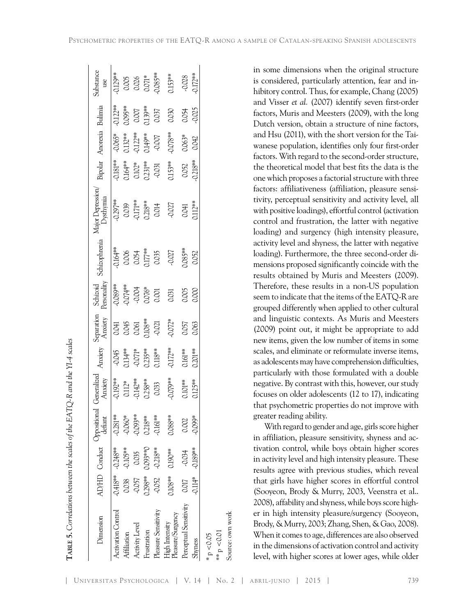$\overline{\phantom{a}}$ 

| Dimension                           |                 |                         | AD/HD Conduct Oppositional ( | Generalized<br>Anxiety                                        | Anxiety                                           | Separation<br>Anxiety                                  | Schizoid<br>Personality<br>-0.089**<br>-0.074**<br>0.076*<br>0.076* | Schizophrenia                                         | Aajor Depression,<br><b>Dysthymia</b>              | Bipolar<br>-0.181**<br>0.164**<br>0.102*<br>0.231** | Anorexia                                                                                                                       | Bulimia                                                                                             | Substance<br>use                                    |
|-------------------------------------|-----------------|-------------------------|------------------------------|---------------------------------------------------------------|---------------------------------------------------|--------------------------------------------------------|---------------------------------------------------------------------|-------------------------------------------------------|----------------------------------------------------|-----------------------------------------------------|--------------------------------------------------------------------------------------------------------------------------------|-----------------------------------------------------------------------------------------------------|-----------------------------------------------------|
| <b>Activation Control</b>           |                 | $-0.418***$ $-0.248***$ | $-0.281**$                   |                                                               |                                                   |                                                        |                                                                     |                                                       |                                                    |                                                     |                                                                                                                                |                                                                                                     |                                                     |
| Affiliation                         |                 | -0.105**                |                              |                                                               |                                                   |                                                        |                                                                     |                                                       |                                                    |                                                     |                                                                                                                                |                                                                                                     |                                                     |
| Activity Level                      | 0.038<br>-0.057 | 0.035                   | $-0.060*$<br>0.093***        |                                                               |                                                   |                                                        |                                                                     |                                                       |                                                    |                                                     |                                                                                                                                |                                                                                                     |                                                     |
| rustration                          | 0.298*          | 0.093**0                | $0.218***$<br>$0.161***$     |                                                               |                                                   |                                                        |                                                                     |                                                       |                                                    |                                                     |                                                                                                                                |                                                                                                     |                                                     |
| leasure Sensitivity                 | $-0.052$        | $-0.218***$             |                              | $-0.192**$<br>$0.112**$<br>$-0.142**$<br>$0.258**$<br>$0.033$ | $\frac{1}{0.045}$<br>0.134**<br>0.071*<br>0.235** | $\overline{)0.041}_{0.045}$<br>0.061<br>0.061<br>0.021 |                                                                     |                                                       |                                                    |                                                     | $\overline{0.065}^*$<br>$\overline{0.132}^{***}$<br>$\overline{0.122}^{***}$<br>$\overline{0.149}^{***}$<br>$\overline{0.007}$ |                                                                                                     | $\overline{0.129^{**}}$<br>0.005<br>0.026<br>0.071* |
| High Intensity<br>Pleasure/Surgency | 0.108**         | $0.190***$              | 0.088**                      | -0.079**                                                      | $0.172***$                                        | $-0.072*$                                              | 0.031                                                               | $\frac{1}{0.164}$<br>0.006<br>0.054<br>0.035<br>0.035 | $-0.297***$<br>0.039<br>0.0171**<br>0.014<br>0.014 | $0.153***$                                          | $0.078***$                                                                                                                     | $\begin{array}{l} 0.122^{**} \\ 0.095^{**} \\ 0.007 \\ 0.139^{**} \\ 0.037 \\ 0.037 \\ \end{array}$ | $0.153***$                                          |
| Perceptual Sensitivity              | 0.017           | -0.034                  | 0.002                        | $0.101***$<br>$0.125***$                                      | $0.161***$<br>$0.201***$                          | 0.057                                                  |                                                                     | J.085**<br>0.052                                      | $0.041$<br>$0.112***$                              | $0.052$<br>$0.218***$                               | 0.063*                                                                                                                         |                                                                                                     | $-0.028$<br>$0.172***$                              |
| Shyness                             | 0.114*          | -0.189**                | 0.099*                       |                                                               |                                                   |                                                        | 0.000<br>0.000                                                      |                                                       |                                                    |                                                     |                                                                                                                                | 0.054<br>0.025                                                                                      |                                                     |
| $\tilde{\zeta}$<br>p < 0.05         |                 |                         |                              |                                                               |                                                   |                                                        |                                                                     |                                                       |                                                    |                                                     |                                                                                                                                |                                                                                                     |                                                     |

**T**

**ble 5.** *Correlations between the scales of the EATQ-R and the YI-4 scales*

 $\overline{1}$ 

 $\overline{\phantom{a}}$ 

 $** p < 0.01$ Source: own work in some dimensions when the original structure is considered, particularly attention, fear and inhibitory control. Thus, for example, Chang (2005) and Visser *et al.* (2007) identify seven first-order factors, Muris and Meesters (2009), with the long Dutch version, obtain a structure of nine factors, and Hsu (2011), with the short version for the Taiwanese population, identifies only four first-order factors. With regard to the second-order structure, the theoretical model that best fits the data is the one which proposes a factorial structure with three factors: affiliativeness (affiliation, pleasure sensitivity, perceptual sensitivity and activity level, all with positive loadings), effortful control (activation control and frustration, the latter with negative loading) and surgency (high intensity pleasure, activity level and shyness, the latter with negative loading). Furthermore, the three second-order dimensions proposed significantly coincide with the results obtained by Muris and Meesters (2009). Therefore, these results in a non-US population seem to indicate that the items of the EATQ-R are grouped differently when applied to other cultural and linguistic contexts. As Muris and Meesters (2009) point out, it might be appropriate to add new items, given the low number of items in some scales, and eliminate or reformulate inverse items, as adolescents may have comprehension difficulties, particularly with those formulated with a double negative. By contrast with this, however, our study focuses on older adolescents (12 to 17), indicating that psychometric properties do not improve with greater reading ability.

With regard to gender and age, girls score higher in affiliation, pleasure sensitivity, shyness and activation control, while boys obtain higher scores in activity level and high intensity pleasure. These results agree with previous studies, which reveal that girls have higher scores in effortful control (Sooyeon, Brody & Murry, 2003, Veenstra et al.. 2008), affability and shyness, while boys score higher in high intensity pleasure/surgency (Sooyeon, Brody, & Murry, 2003; Zhang, Shen, & Gao, 2008). When it comes to age, differences are also observed in the dimensions of activation control and activity er in high intensity pleasure/surgency (Sooyeon,<br>Brody, & Murry, 2003; Zhang, Shen, & Gao, 2008).<br>When it comes to age, differences are also observed<br>in the dimensions of activation control and activity<br>level, with higher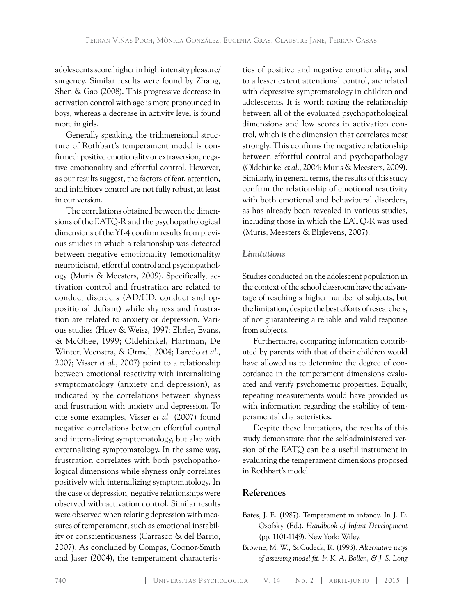adolescents score higher in high intensity pleasure/ surgency. Similar results were found by Zhang, Shen & Gao (2008). This progressive decrease in activation control with age is more pronounced in boys, whereas a decrease in activity level is found more in girls.

Generally speaking, the tridimensional structure of Rothbart's temperament model is confirmed: positive emotionality or extraversion, negative emotionality and effortful control. However, as our results suggest, the factors of fear, attention, and inhibitory control are not fully robust, at least in our version.

The correlations obtained between the dimensions of the EATQ-R and the psychopathological dimensions of the YI-4 confirm results from previous studies in which a relationship was detected between negative emotionality (emotionality/ neuroticism), effortful control and psychopathology (Muris & Meesters, 2009). Specifically, activation control and frustration are related to conduct disorders (AD/HD, conduct and oppositional defiant) while shyness and frustration are related to anxiety or depression. Various studies (Huey & Weisz, 1997; Ehrler, Evans, & McGhee, 1999; Oldehinkel, Hartman, De Winter, Veenstra, & Ormel, 2004; Laredo *et al.*, 2007; Visser *et al.*, 2007) point to a relationship between emotional reactivity with internalizing symptomatology (anxiety and depression), as indicated by the correlations between shyness and frustration with anxiety and depression. To cite some examples, Visser *et al.* (2007) found negative correlations between effortful control and internalizing symptomatology, but also with externalizing symptomatology. In the same way, frustration correlates with both psychopathological dimensions while shyness only correlates positively with internalizing symptomatology. In the case of depression, negative relationships were observed with activation control. Similar results were observed when relating depression with measures of temperament, such as emotional instability or conscientiousness (Carrasco & del Barrio, 2007). As concluded by Compas, Coonor-Smith and Jaser (2004), the temperament characteris-

tics of positive and negative emotionality, and to a lesser extent attentional control, are related with depressive symptomatology in children and adolescents. It is worth noting the relationship between all of the evaluated psychopathological dimensions and low scores in activation control, which is the dimension that correlates most strongly. This confirms the negative relationship between effortful control and psychopathology (Oldehinkel *et al.*, 2004; Muris & Meesters, 2009). Similarly, in general terms, the results of this study confirm the relationship of emotional reactivity with both emotional and behavioural disorders, as has already been revealed in various studies, including those in which the EATQ-R was used (Muris, Meesters & Blijlevens, 2007).

## *Limitations*

Studies conducted on the adolescent population in the context of the school classroom have the advantage of reaching a higher number of subjects, but the limitation, despite the best efforts of researchers, of not guaranteeing a reliable and valid response from subjects.

Furthermore, comparing information contributed by parents with that of their children would have allowed us to determine the degree of concordance in the temperament dimensions evaluated and verify psychometric properties. Equally, repeating measurements would have provided us with information regarding the stability of temperamental characteristics.

Despite these limitations, the results of this study demonstrate that the self-administered version of the EATQ can be a useful instrument in evaluating the temperament dimensions proposed in Rothbart's model.

## **References**

- Bates, J. E. (1987). Temperament in infancy. In J. D. Osofsky (Ed.). *Handbook of Infant Development*  (pp. 1101-1149). New York: Wiley.
- Browne, M. W., & Cudeck, R. (1993). *Alternative ways of assessing model fit. In K. A. Bollen, & J. S. Long*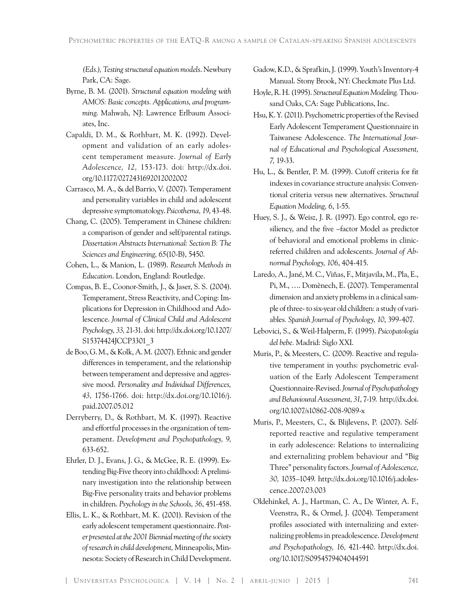*(Eds.), Testing structural equation models*. Newbury Park, CA: Sage.

- Byrne, B. M. (2001). *Structural equation modeling with AMOS: Basic concepts. Applications, and programming*. Mahwah, NJ: Lawrence Erlbaum Associates, Inc.
- Capaldi, D. M., & Rothbart, M. K. (1992). Development and validation of an early adolescent temperament measure. *Journal of Early Adolescence, 12,* 153-173. doi: [http://dx.doi.](http://dx.doi.org/10.1177/0272431692012002002) [org/10.1177/0272431692012002002](http://dx.doi.org/10.1177/0272431692012002002)
- Carrasco, M. A., & del Barrio, V. (2007). Temperament and personality variables in child and adolescent depressive symptomatology. *Psicothema, 19*, 43-48.
- Chang, C. (2005). Temperament in Chinese children: a comparison of gender and self/parental ratings. *Dissertation Abstracts International: Section B: The Sciences and Engineering, 65*(10-B), 5450.
- Cohen, L., & Manion, L. (1989). *Research Methods in Education*. London, England: Routledge.
- Compas, B. E., Coonor-Smith, J., & Jaser, S. S. (2004). Temperament, Stress Reactivity, and Coping: Implications for Depression in Childhood and Adolescence. *Journal of Clinical Child and Adolescent Psychology, 33,* 21-31. doi: [http://dx.doi.org/10.1207/](http://dx.doi.org/10.1207/S15374424JCCP3301_3) [S15374424JCCP3301\\_3](http://dx.doi.org/10.1207/S15374424JCCP3301_3)
- de Boo, G. M., & Kolk, A. M. (2007). Ethnic and gender differences in temperament, and the relationship between temperament and depressive and aggressive mood. *Personality and Individual Differences, 43,* 1756-1766. doi: [http://dx.doi.org/10.1016/j.](http://dx.doi.org/10.1016/j.paid.2007.05.012) [paid.2007.05.012](http://dx.doi.org/10.1016/j.paid.2007.05.012)
- Derryberry, D., & Rothbart, M. K. (1997). Reactive and effortful processes in the organization of temperament. *Development and Psychopathology, 9,*  633-652.
- Ehrler, D. J., Evans, J. G., & McGee, R. E. (1999). Extending Big-Five theory into childhood: A preliminary investigation into the relationship between Big-Five personality traits and behavior problems in children. *Psychology in the Schools, 36*, 451-458.
- Ellis, L. K., & Rothbart, M. K. (2001). Revision of the early adolescent temperament questionnaire. *Poster presented at the 2001 Biennial meeting of the society of research in child development,* Minneapolis, Minnesota: Society of Research in Child Development.

Gadow, K.D., & Sprafkin, J. (1999). Youth's Inventory-4 Manual. Stony Brook, NY: Checkmate Plus Ltd.

- Hoyle, R. H. (1995). *Structural Equation Modeling.* Thousand Oaks, CA: Sage Publications, Inc.
- Hsu, K. Y. (2011). Psychometric properties of the Revised Early Adolescent Temperament Questionnaire in Taiwanese Adolescence. *The International Journal of Educational and Psychological Assessment, 7,* 19-33.
- Hu, L., & Bentler, P. M. (1999). Cutoff criteria for fit indexes in covariance structure analysis: Conventional criteria versus new alternatives. *Structural Equation Modeling, 6*, 1-55.
- Huey, S. J., & Weisz, J. R. (1997). Ego control, ego resiliency, and the five –factor Model as predictor of behavioral and emotional problems in clinicreferred children and adolescents. *Journal of Abnormal Psychology, 106*, 404-415.
- Laredo, A., Jané, M. C., Viñas, F., Mitjavila, M., Pla, E., Pi, M., …. Domènech, E. (2007). Temperamental dimension and anxiety problems in a clinical sample of three- to six-year old children: a study of variables*. Spanish Journal of Psychology, 10*, 399-407.
- Lebovici, S., & Weil-Halperm, F. (1995). *Psicopatología del bebe.* Madrid: Siglo XXI.
- Muris, P., & Meesters, C. (2009). Reactive and regulative temperament in youths: psychometric evaluation of the Early Adolescent Temperament Questionnaire-Revised. *Journal of Psychopathology and Behavioural Assessment, 31*, 7-19. [http://dx.doi.](http://dx.doi.org/10.1007/s10862-008-9089-x) [org/10.1007/s10862-008-9089-x](http://dx.doi.org/10.1007/s10862-008-9089-x)
- Muris, P., Meesters, C., & Blijlevens, P. (2007). Selfreported reactive and regulative temperament in early adolescence: Relations to internalizing and externalizing problem behaviour and "Big Three" personality factors. *Journal of Adolescence, 30,* 1035–1049. [http://dx.doi.org/10.1016/j.adoles](http://dx.doi.org/10.1016/j.adolescence.2007.03.003)[cence.2007.03.003](http://dx.doi.org/10.1016/j.adolescence.2007.03.003)
- Oldehinkel, A. J., Hartman, C. A., De Winter, A. F., Veenstra, R., & Ormel, J. (2004). Temperament profiles associated with internalizing and externalizing problems in preadolescence. *Development and Psychopathology, 16,* 421-440. [http://dx.doi.](http://dx.doi.org/10.1017/S0954579404044591) [org/10.1017/S0954579404044591](http://dx.doi.org/10.1017/S0954579404044591)